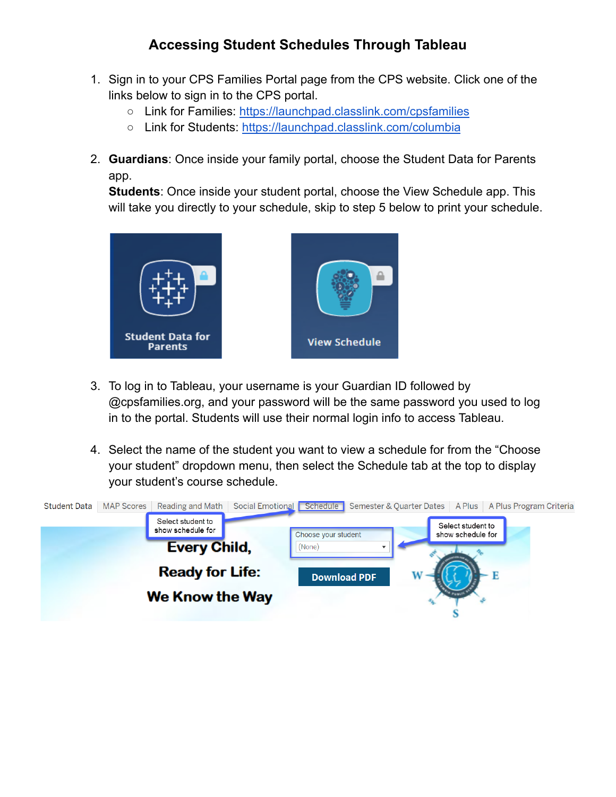## **Accessing Student Schedules Through Tableau**

- 1. Sign in to your CPS Families Portal page from the CPS website. Click one of the links below to sign in to the CPS portal.
	- Link for Families: <https://launchpad.classlink.com/cpsfamilies>
	- Link for Students: <https://launchpad.classlink.com/columbia>
- 2. **Guardians**: Once inside your family portal, choose the Student Data for Parents app.

**Students**: Once inside your student portal, choose the View Schedule app. This will take you directly to your schedule, skip to step 5 below to print your schedule.



- 3. To log in to Tableau, your username is your Guardian ID followed by @cpsfamilies.org, and your password will be the same password you used to log in to the portal. Students will use their normal login info to access Tableau.
- 4. Select the name of the student you want to view a schedule for from the "Choose your student" dropdown menu, then select the Schedule tab at the top to display your student's course schedule.